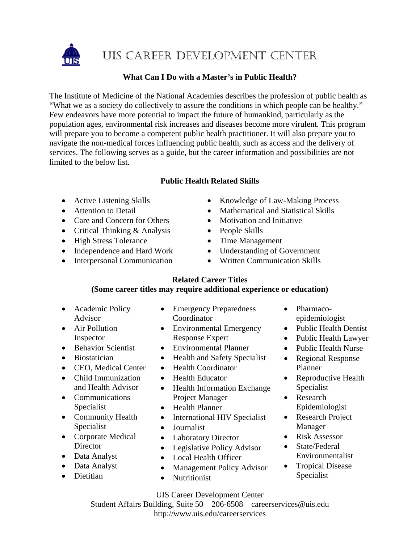

UIS CAREER DEVELOPMENT CENTER

# **What Can I Do with a Master's in Public Health?**

The Institute of Medicine of the National Academies describes the profession of public health as "What we as a society do collectively to assure the conditions in which people can be healthy." Few endeavors have more potential to impact the future of humankind, particularly as the population ages, environmental risk increases and diseases become more virulent. This program will prepare you to become a competent public health practitioner. It will also prepare you to navigate the non-medical forces influencing public health, such as access and the delivery of services. The following serves as a guide, but the career information and possibilities are not limited to the below list.

# **Public Health Related Skills**

- 
- 
- Care and Concern for Others Motivation and Initiative
- Critical Thinking & Analysis People Skills
- High Stress Tolerance Time Management
- Independence and Hard Work Understanding of Government
- 
- Active Listening Skills Knowledge of Law-Making Process
- Attention to Detail Mathematical and Statistical Skills
	-
	-
	-
	-
- Interpersonal Communication Written Communication Skills

# **Related Career Titles**

# **(Some career titles may require additional experience or education)**

- Academic Policy Advisor
- Air Pollution Inspector
- Behavior Scientist
- Biostatician
- CEO, Medical Center
- Child Immunization and Health Advisor
- Communications Specialist
- Community Health Specialist
- Corporate Medical **Director**
- Data Analyst
- Data Analyst
- Dietitian
- Emergency Preparedness **Coordinator**
- Environmental Emergency Response Expert
- Environmental Planner
- Health and Safety Specialist
- Health Coordinator
- Health Educator
- Health Information Exchange Project Manager
- Health Planner
- International HIV Specialist
- Journalist
- Laboratory Director
- Legislative Policy Advisor
- Local Health Officer
- Management Policy Advisor
- Nutritionist

• Pharmacoepidemiologist

- Public Health Dentist
- Public Health Lawyer
- Public Health Nurse • Regional Response Planner
- Reproductive Health Specialist
- Research Epidemiologist
- Research Project Manager
- Risk Assessor
- State/Federal Environmentalist
- Tropical Disease Specialist

UIS Career Development Center Student Affairs Building, Suite 50 206-6508 careerservices@uis.edu http://www.uis.edu/careerservices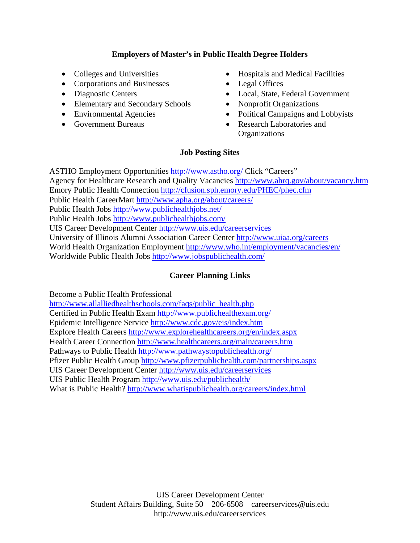# **Employers of Master's in Public Health Degree Holders**

- 
- Corporations and Businesses Legal Offices
- Diagnostic Centers
- Elementary and Secondary Schools
- Environmental Agencies
- Government Bureaus
- Colleges and Universities Hospitals and Medical Facilities
	-
	- Local, State, Federal Government
	- Nonprofit Organizations
	- Political Campaigns and Lobbyists
	- Research Laboratories and **Organizations**

### **Job Posting Sites**

ASTHO Employment Opportunities http://www.astho.org/ Click "Careers" Agency for Healthcare Research and Quality Vacancies http://www.ahrq.gov/about/vacancy.htm Emory Public Health Connection http://cfusion.sph.emory.edu/PHEC/phec.cfm Public Health CareerMart http://www.apha.org/about/careers/ Public Health Jobs http://www.publichealthjobs.net/ Public Health Jobs http://www.publichealthjobs.com/ UIS Career Development Center http://www.uis.edu/careerservices University of Illinois Alumni Association Career Center http://www.uiaa.org/careers World Health Organization Employment http://www.who.int/employment/vacancies/en/ Worldwide Public Health Jobs http://www.jobspublichealth.com/

# **Career Planning Links**

Become a Public Health Professional

http://www.allalliedhealthschools.com/faqs/public\_health.php Certified in Public Health Exam http://www.publichealthexam.org/ Epidemic Intelligence Service http://www.cdc.gov/eis/index.htm Explore Health Careers http://www.explorehealthcareers.org/en/index.aspx Health Career Connection http://www.healthcareers.org/main/careers.htm Pathways to Public Health http://www.pathwaystopublichealth.org/ Pfizer Public Health Group http://www.pfizerpublichealth.com/partnerships.aspx UIS Career Development Center http://www.uis.edu/careerservices UIS Public Health Program http://www.uis.edu/publichealth/ What is Public Health? http://www.whatispublichealth.org/careers/index.html